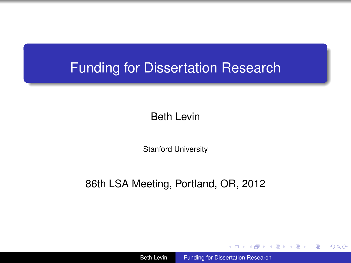## Funding for Dissertation Research

Beth Levin

Stanford University

#### 86th LSA Meeting, Portland, OR, 2012

**≮ロ ▶ ⊀ 御 ▶ ⊀ ヨ ▶ ⊀ ヨ ▶** 

<span id="page-0-0"></span>重  $2Q$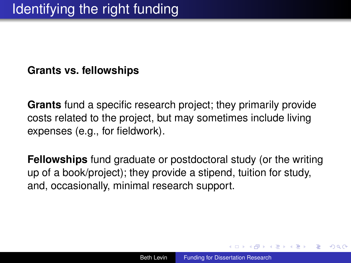#### **Grants vs. fellowships**

**Grants** fund a specific research project; they primarily provide costs related to the project, but may sometimes include living expenses (e.g., for fieldwork).

**Fellowships** fund graduate or postdoctoral study (or the writing up of a book/project); they provide a stipend, tuition for study, and, occasionally, minimal research support.

イロト イ押 トイヨ トイヨ トー

B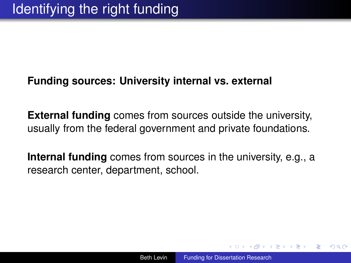### **Funding sources: University internal vs. external**

**External funding** comes from sources outside the university, usually from the federal government and private foundations.

**Internal funding** comes from sources in the university, e.g., a research center, department, school.

④ 重 を ④ 重 を…

 $2Q$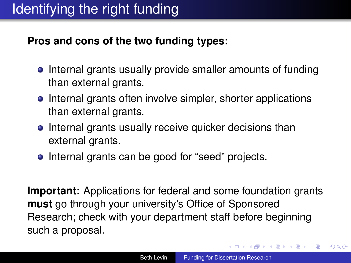### **Pros and cons of the two funding types:**

- Internal grants usually provide smaller amounts of funding than external grants.
- Internal grants often involve simpler, shorter applications than external grants.
- Internal grants usually receive quicker decisions than external grants.
- Internal grants can be good for "seed" projects.

**Important:** Applications for federal and some foundation grants **must** go through your university's Office of Sponsored Research; check with your department staff before beginning such a proposal.

**K ロ ▶ K 何 ▶ K ヨ ▶ K ヨ ▶** 

÷.

 $2Q$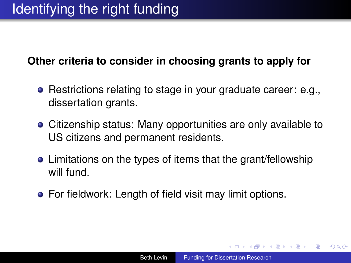### **Other criteria to consider in choosing grants to apply for**

- **•** Restrictions relating to stage in your graduate career: e.g., dissertation grants.
- Citizenship status: Many opportunities are only available to US citizens and permanent residents.
- Limitations on the types of items that the grant/fellowship will fund.
- For fieldwork: Length of field visit may limit options.

イロト イ押 トイヨ トイヨ トー

÷.  $QQ$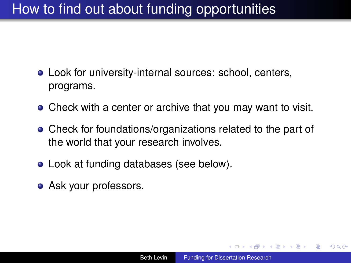# How to find out about funding opportunities

- Look for university-internal sources: school, centers, programs.
- Check with a center or archive that you may want to visit.
- Check for foundations/organizations related to the part of the world that your research involves.
- Look at funding databases (see below).
- Ask your professors.

K 何 ▶ K ヨ ▶ K ヨ ▶ ...

B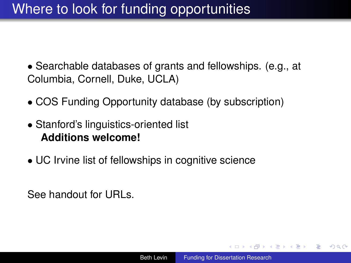# Where to look for funding opportunities

• Searchable databases of grants and fellowships. (e.g., at Columbia, Cornell, Duke, UCLA)

- COS Funding Opportunity database (by subscription)
- Stanford's linguistics-oriented list **Additions welcome!**
- UC Irvine list of fellowships in cognitive science

See handout for URLs.

K 何 ▶ K ヨ ▶ K ヨ ▶ ...

÷.  $QQ$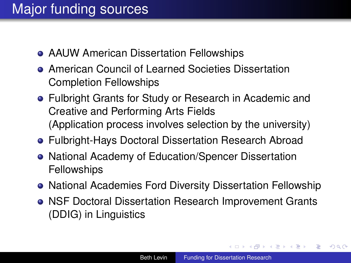- AAUW American Dissertation Fellowships
- American Council of Learned Societies Dissertation Completion Fellowships
- Fulbright Grants for Study or Research in Academic and Creative and Performing Arts Fields (Application process involves selection by the university)
- Fulbright-Hays Doctoral Dissertation Research Abroad
- National Academy of Education/Spencer Dissertation Fellowships
- National Academies Ford Diversity Dissertation Fellowship
- NSF Doctoral Dissertation Research Improvement Grants (DDIG) in Linguistics

**K ロ ▶ K 何 ▶ K ヨ ▶ K ヨ ▶** 

G.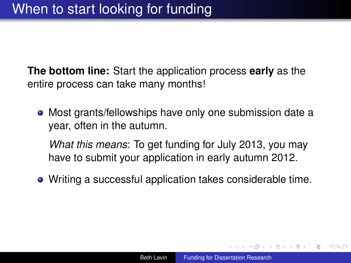**The bottom line:** Start the application process **early** as the entire process can take many months!

Most grants/fellowships have only one submission date a year, often in the autumn.

*What this means*: To get funding for July 2013, you may have to submit your application in early autumn 2012.

Writing a successful application takes considerable time.

イロト イ押 トイヨ トイヨト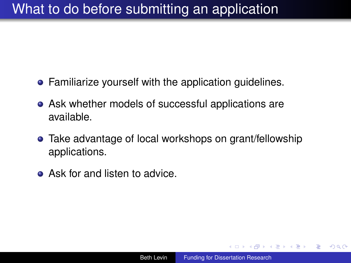## What to do before submitting an application

- **•** Familiarize yourself with the application guidelines.
- Ask whether models of successful applications are available.
- Take advantage of local workshops on grant/fellowship applications.
- **Ask for and listen to advice.**

→ 重き 4 重き 1

÷.  $QQ$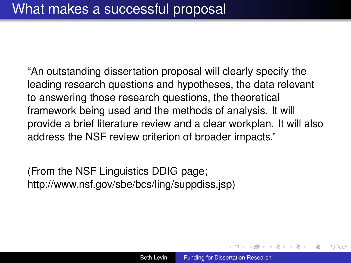"An outstanding dissertation proposal will clearly specify the leading research questions and hypotheses, the data relevant to answering those research questions, the theoretical framework being used and the methods of analysis. It will provide a brief literature review and a clear workplan. It will also address the NSF review criterion of broader impacts."

(From the NSF Linguistics DDIG page; http://www.nsf.gov/sbe/bcs/ling/suppdiss.jsp)

イロメ 不優 トメ ヨ メ ス ヨ メー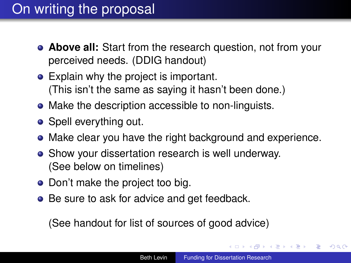# On writing the proposal

- **Above all:** Start from the research question, not from your perceived needs. (DDIG handout)
- Explain why the project is important. (This isn't the same as saying it hasn't been done.)
- Make the description accessible to non-linguists.
- Spell everything out.
- Make clear you have the right background and experience.
- Show your dissertation research is well underway. (See below on timelines)
- Don't make the project too big.
- Be sure to ask for advice and get feedback.

(See handout for list of sources of good advice)

**K ロ ▶ K 何 ▶ K ヨ ▶ K ヨ ▶** 

B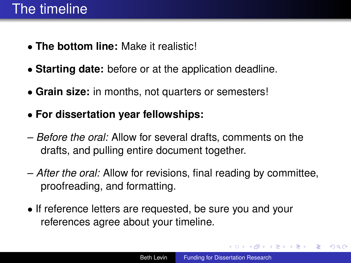- **The bottom line:** Make it realistic!
- **Starting date:** before or at the application deadline.
- **Grain size:** in months, not quarters or semesters!
- **For dissertation year fellowships:**
- *Before the oral:* Allow for several drafts, comments on the drafts, and pulling entire document together.
- *After the oral:* Allow for revisions, final reading by committee, proofreading, and formatting.
- If reference letters are requested, be sure you and your references agree about your timeline.

 $\left\{ \bigoplus_{i=1}^{n} \mathbb{P} \left( \mathcal{A} \right) \subseteq \mathbb{P} \left( \mathcal{A} \right) \subseteq \mathbb{P} \right\}$ 

ă.  $QQ$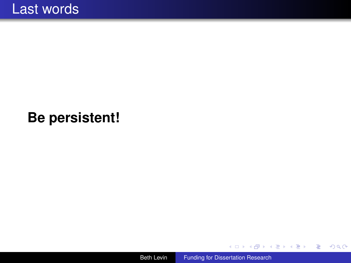## **Be persistent!**



メロトメ 御 トメ 差 トメ 差 トー

 $\equiv$  990